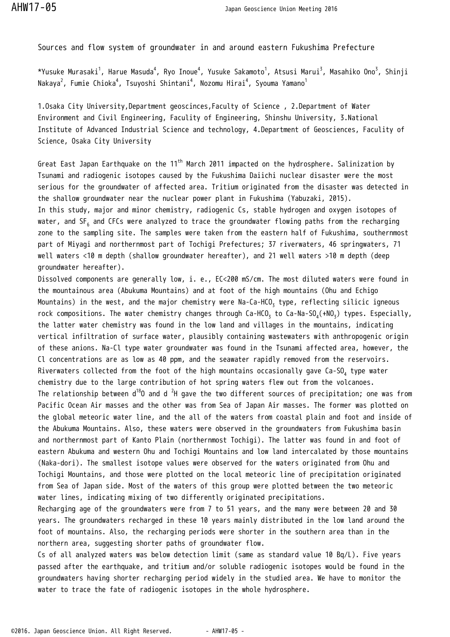Sources and flow system of groundwater in and around eastern Fukushima Prefecture

 $*$ Yusuke Murasaki $^1$ , Harue Masuda $^4$ , Ryo Inoue $^4$ , Yusuke Sakamoto $^1$ , Atsusi Marui $^3$ , Masahiko Ono $^3$ , Shinji Nakaya $^2$ , Fumie Chioka $^4$ , Tsuyoshi Shintani $^4$ , Nozomu Hirai $^4$ , Syouma Yamano $^1$ 

1.Osaka City University,Department geoscinces,Faculty of Science , 2.Department of Water Environment and Civil Engineering, Faculity of Engineering, Shinshu University, 3.National Institute of Advanced Industrial Science and technology, 4.Department of Geosciences, Faculity of Science, Osaka City University

Great East Japan Earthquake on the 11<sup>th</sup> March 2011 impacted on the hydrosphere. Salinization by Tsunami and radiogenic isotopes caused by the Fukushima Daiichi nuclear disaster were the most serious for the groundwater of affected area. Tritium originated from the disaster was detected in the shallow groundwater near the nuclear power plant in Fukushima (Yabuzaki, 2015). In this study, major and minor chemistry, radiogenic Cs, stable hydrogen and oxygen isotopes of water, and SF<sub>6</sub> and CFCs were analyzed to trace the groundwater flowing paths from the recharging zone to the sampling site. The samples were taken from the eastern half of Fukushima, southernmost part of Miyagi and northernmost part of Tochigi Prefectures; 37 riverwaters, 46 springwaters, 71 well waters <10 m depth (shallow groundwater hereafter), and 21 well waters >10 m depth (deep groundwater hereafter).

Dissolved components are generally low, i. e., EC<200 mS/cm. The most diluted waters were found in the mountainous area (Abukuma Mountains) and at foot of the high mountains (Ohu and Echigo Mountains) in the west, and the major chemistry were Na-Ca-HCO $_{\rm 3}$  type, reflecting silicic igneous rock compositions. The water chemistry changes through Ca-HCO<sub>3</sub> to Ca-Na-SO<sub>4</sub>(+NO<sub>3</sub>) types. Especially, the latter water chemistry was found in the low land and villages in the mountains, indicating vertical infiltration of surface water, plausibly containing wastewaters with anthropogenic origin of these anions. Na-Cl type water groundwater was found in the Tsunami affected area, however, the Cl concentrations are as low as 40 ppm, and the seawater rapidly removed from the reservoirs. Riverwaters collected from the foot of the high mountains occasionally gave Ca-SO $_4$  type water chemistry due to the large contribution of hot spring waters flew out from the volcanoes. The relationship between  $d^{18}0$  and d <sup>2</sup>H gave the two different sources of precipitation; one was from Pacific Ocean Air masses and the other was from Sea of Japan Air masses. The former was plotted on the global meteoric water line, and the all of the waters from coastal plain and foot and inside of the Abukuma Mountains. Also, these waters were observed in the groundwaters from Fukushima basin and northernmost part of Kanto Plain (northernmost Tochigi). The latter was found in and foot of eastern Abukuma and western Ohu and Tochigi Mountains and low land intercalated by those mountains (Naka-dori). The smallest isotope values were observed for the waters originated from Ohu and Tochigi Mountains, and those were plotted on the local meteoric line of precipitation originated from Sea of Japan side. Most of the waters of this group were plotted between the two meteoric water lines, indicating mixing of two differently originated precipitations.

Recharging age of the groundwaters were from 7 to 51 years, and the many were between 20 and 30 years. The groundwaters recharged in these 10 years mainly distributed in the low land around the foot of mountains. Also, the recharging periods were shorter in the southern area than in the northern area, suggesting shorter paths of groundwater flow.

Cs of all analyzed waters was below detection limit (same as standard value 10 Bq/L). Five years passed after the earthquake, and tritium and/or soluble radiogenic isotopes would be found in the groundwaters having shorter recharging period widely in the studied area. We have to monitor the water to trace the fate of radiogenic isotopes in the whole hydrosphere.